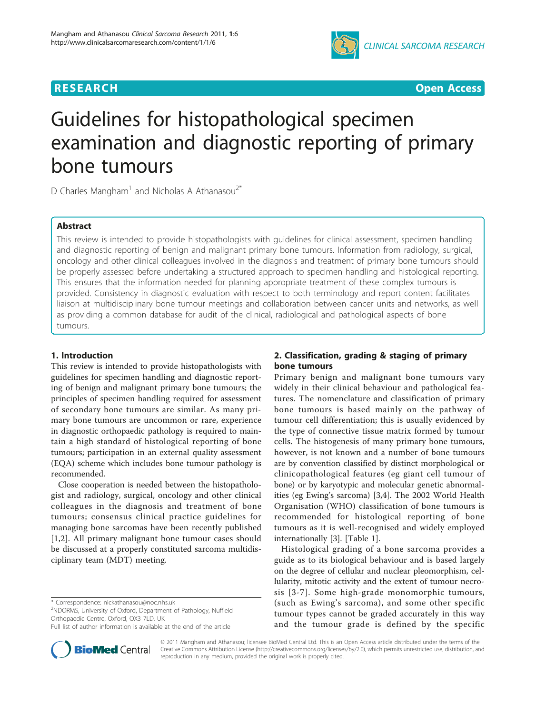# http://www.clinicalsarcomaresearch.com/content/1/1/6 **CLINICAL SARCOMA RESEARCH**

**RESEARCH Open Access** 

# Guidelines for histopathological specimen examination and diagnostic reporting of primary bone tumours

D Charles Mangham<sup>1</sup> and Nicholas A Athanasou<sup>2\*</sup>

# Abstract

This review is intended to provide histopathologists with guidelines for clinical assessment, specimen handling and diagnostic reporting of benign and malignant primary bone tumours. Information from radiology, surgical, oncology and other clinical colleagues involved in the diagnosis and treatment of primary bone tumours should be properly assessed before undertaking a structured approach to specimen handling and histological reporting. This ensures that the information needed for planning appropriate treatment of these complex tumours is provided. Consistency in diagnostic evaluation with respect to both terminology and report content facilitates liaison at multidisciplinary bone tumour meetings and collaboration between cancer units and networks, as well as providing a common database for audit of the clinical, radiological and pathological aspects of bone tumours.

# 1. Introduction

This review is intended to provide histopathologists with guidelines for specimen handling and diagnostic reporting of benign and malignant primary bone tumours; the principles of specimen handling required for assessment of secondary bone tumours are similar. As many primary bone tumours are uncommon or rare, experience in diagnostic orthopaedic pathology is required to maintain a high standard of histological reporting of bone tumours; participation in an external quality assessment (EQA) scheme which includes bone tumour pathology is recommended.

Close cooperation is needed between the histopathologist and radiology, surgical, oncology and other clinical colleagues in the diagnosis and treatment of bone tumours; consensus clinical practice guidelines for managing bone sarcomas have been recently published [[1,2](#page-10-0)]. All primary malignant bone tumour cases should be discussed at a properly constituted sarcoma multidisciplinary team (MDT) meeting.

\* Correspondence: [nickathanasou@noc.nhs.uk](mailto:nickathanasou@noc.nhs.uk)

2 NDORMS, University of Oxford, Department of Pathology, Nuffield Orthopaedic Centre, Oxford, OX3 7LD, UK

Full list of author information is available at the end of the article



# 2. Classification, grading & staging of primary bone tumours

Primary benign and malignant bone tumours vary widely in their clinical behaviour and pathological features. The nomenclature and classification of primary bone tumours is based mainly on the pathway of tumour cell differentiation; this is usually evidenced by the type of connective tissue matrix formed by tumour cells. The histogenesis of many primary bone tumours, however, is not known and a number of bone tumours are by convention classified by distinct morphological or clinicopathological features (eg giant cell tumour of bone) or by karyotypic and molecular genetic abnormalities (eg Ewing's sarcoma) [\[3,4\]](#page-10-0). The 2002 World Health Organisation (WHO) classification of bone tumours is recommended for histological reporting of bone tumours as it is well-recognised and widely employed internationally [\[3\]](#page-10-0). [Table [1\]](#page-1-0).

Histological grading of a bone sarcoma provides a guide as to its biological behaviour and is based largely on the degree of cellular and nuclear pleomorphism, cellularity, mitotic activity and the extent of tumour necrosis [[3-7\]](#page-10-0). Some high-grade monomorphic tumours, (such as Ewing's sarcoma), and some other specific tumour types cannot be graded accurately in this way and the tumour grade is defined by the specific

© 2011 Mangham and Athanasou; licensee BioMed Central Ltd. This is an Open Access article distributed under the terms of the Creative Commons Attribution License (<http://creativecommons.org/licenses/by/2.0>), which permits unrestricted use, distribution, and reproduction in any medium, provided the original work is properly cited.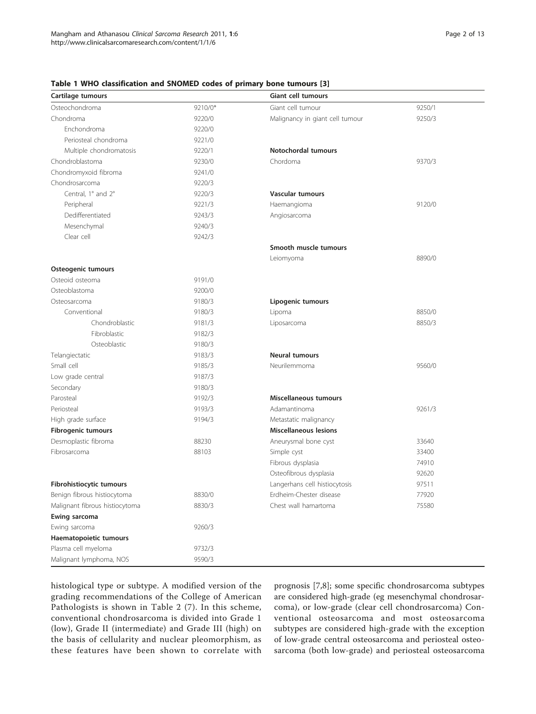<span id="page-1-0"></span>

| Table 1 WHO classification and SNOMED codes of primary bone tumours [3] |  |  |
|-------------------------------------------------------------------------|--|--|
|-------------------------------------------------------------------------|--|--|

| Osteochondroma<br>9210/0*<br>Giant cell tumour<br>9250/1                  |  |
|---------------------------------------------------------------------------|--|
|                                                                           |  |
| Chondroma<br>9220/0<br>9250/3<br>Malignancy in giant cell tumour          |  |
| Enchondroma<br>9220/0                                                     |  |
| Periosteal chondroma<br>9221/0                                            |  |
| <b>Notochordal tumours</b><br>Multiple chondromatosis<br>9220/1           |  |
| Chondroblastoma<br>Chordoma<br>9230/0<br>9370/3                           |  |
| Chondromyxoid fibroma<br>9241/0                                           |  |
| Chondrosarcoma<br>9220/3                                                  |  |
| Central, 1° and 2°<br><b>Vascular tumours</b><br>9220/3                   |  |
| Haemangioma<br>Peripheral<br>9221/3<br>9120/0                             |  |
| Dedifferentiated<br>9243/3<br>Angiosarcoma                                |  |
| Mesenchymal<br>9240/3                                                     |  |
| Clear cell<br>9242/3                                                      |  |
| Smooth muscle tumours                                                     |  |
| Leiomyoma<br>8890/0                                                       |  |
| Osteogenic tumours                                                        |  |
| Osteoid osteoma<br>9191/0                                                 |  |
| Osteoblastoma<br>9200/0                                                   |  |
| Osteosarcoma<br>9180/3<br>Lipogenic tumours                               |  |
| Conventional<br>9180/3<br>Lipoma<br>8850/0                                |  |
| Chondroblastic<br>9181/3<br>Liposarcoma<br>8850/3                         |  |
| Fibroblastic<br>9182/3                                                    |  |
| Osteoblastic<br>9180/3                                                    |  |
| <b>Neural tumours</b><br>Telangiectatic<br>9183/3                         |  |
| Small cell<br>9185/3<br>Neurilemmoma<br>9560/0                            |  |
| Low grade central<br>9187/3                                               |  |
| Secondary<br>9180/3                                                       |  |
| Miscellaneous tumours<br>Parosteal<br>9192/3                              |  |
| Periosteal<br>9193/3<br>Adamantinoma<br>9261/3                            |  |
| High grade surface<br>9194/3<br>Metastatic malignancy                     |  |
| Fibrogenic tumours<br><b>Miscellaneous lesions</b>                        |  |
| Desmoplastic fibroma<br>88230<br>Aneurysmal bone cyst<br>33640            |  |
| 88103<br>Fibrosarcoma<br>Simple cyst<br>33400                             |  |
| Fibrous dysplasia<br>74910                                                |  |
| Osteofibrous dysplasia<br>92620                                           |  |
| Langerhans cell histiocytosis<br>Fibrohistiocytic tumours<br>97511        |  |
| 8830/0<br>Erdheim-Chester disease<br>77920<br>Benign fibrous histiocytoma |  |
| Malignant fibrous histiocytoma<br>Chest wall hamartoma<br>8830/3<br>75580 |  |
| Ewing sarcoma                                                             |  |
| Ewing sarcoma<br>9260/3                                                   |  |
| Haematopoietic tumours                                                    |  |
| Plasma cell myeloma<br>9732/3                                             |  |
| Malignant lymphoma, NOS<br>9590/3                                         |  |

histological type or subtype. A modified version of the grading recommendations of the College of American Pathologists is shown in Table [2](#page-2-0) (7). In this scheme, conventional chondrosarcoma is divided into Grade 1 (low), Grade II (intermediate) and Grade III (high) on the basis of cellularity and nuclear pleomorphism, as these features have been shown to correlate with prognosis [\[7,8](#page-10-0)]; some specific chondrosarcoma subtypes are considered high-grade (eg mesenchymal chondrosarcoma), or low-grade (clear cell chondrosarcoma) Conventional osteosarcoma and most osteosarcoma subtypes are considered high-grade with the exception of low-grade central osteosarcoma and periosteal osteosarcoma (both low-grade) and periosteal osteosarcoma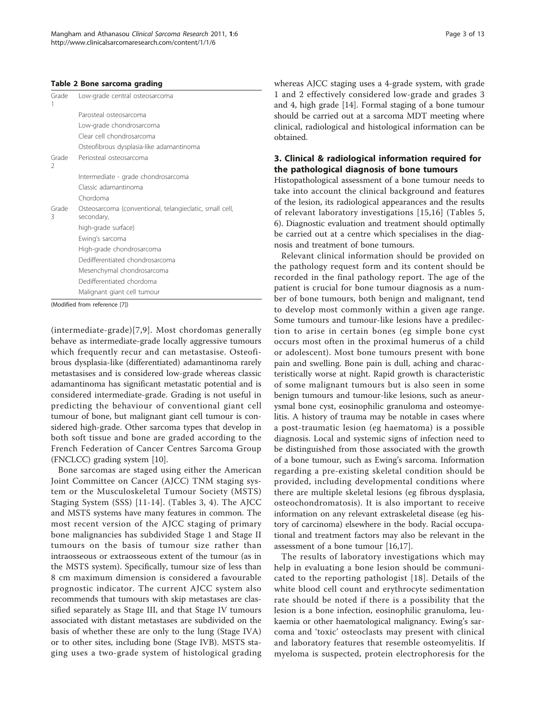#### <span id="page-2-0"></span>Table 2 Bone sarcoma grading

| Grade      | Low-grade central osteosarcoma                                        |
|------------|-----------------------------------------------------------------------|
|            | Parosteal osteosarcoma                                                |
|            | Low-grade chondrosarcoma                                              |
|            | Clear cell chondrosarcoma                                             |
|            | Osteofibrous dysplasia-like adamantinoma                              |
| Grade<br>2 | Periosteal osteosarcoma                                               |
|            | Intermediate - grade chondrosarcoma                                   |
|            | Classic adamantinoma                                                  |
|            | Chordoma                                                              |
| Grade<br>3 | Osteosarcoma (conventional, telangieclatic, small cell,<br>secondary, |
|            | high-grade surface)                                                   |
|            | Ewing's sarcoma                                                       |
|            | High-grade chondrosarcoma                                             |
|            | Dedifferentiated chondrosarcoma                                       |
|            | Mesenchymal chondrosarcoma                                            |
|            | Dedifferentiated chordoma                                             |
|            | Malignant giant cell tumour                                           |

(Modified from reference [\[7\]](#page-10-0))

(intermediate-grade)[[7,9\]](#page-10-0). Most chordomas generally behave as intermediate-grade locally aggressive tumours which frequently recur and can metastasise. Osteofibrous dysplasia-like (differentiated) adamantinoma rarely metastasises and is considered low-grade whereas classic adamantinoma has significant metastatic potential and is considered intermediate-grade. Grading is not useful in predicting the behaviour of conventional giant cell tumour of bone, but malignant giant cell tumour is considered high-grade. Other sarcoma types that develop in both soft tissue and bone are graded according to the French Federation of Cancer Centres Sarcoma Group (FNCLCC) grading system [[10\]](#page-10-0).

Bone sarcomas are staged using either the American Joint Committee on Cancer (AJCC) TNM staging system or the Musculoskeletal Tumour Society (MSTS) Staging System (SSS) [[11-14\]](#page-11-0). (Tables [3, 4](#page-3-0)). The AJCC and MSTS systems have many features in common. The most recent version of the AJCC staging of primary bone malignancies has subdivided Stage 1 and Stage II tumours on the basis of tumour size rather than intraosseous or extraosseous extent of the tumour (as in the MSTS system). Specifically, tumour size of less than 8 cm maximum dimension is considered a favourable prognostic indicator. The current AJCC system also recommends that tumours with skip metastases are classified separately as Stage III, and that Stage IV tumours associated with distant metastases are subdivided on the basis of whether these are only to the lung (Stage IVA) or to other sites, including bone (Stage IVB). MSTS staging uses a two-grade system of histological grading whereas AJCC staging uses a 4-grade system, with grade 1 and 2 effectively considered low-grade and grades 3 and 4, high grade [\[14\]](#page-11-0). Formal staging of a bone tumour should be carried out at a sarcoma MDT meeting where clinical, radiological and histological information can be obtained.

### 3. Clinical & radiological information required for the pathological diagnosis of bone tumours

Histopathological assessment of a bone tumour needs to take into account the clinical background and features of the lesion, its radiological appearances and the results of relevant laboratory investigations [[15,16\]](#page-11-0) (Tables [5](#page-4-0), [6\)](#page-4-0). Diagnostic evaluation and treatment should optimally be carried out at a centre which specialises in the diagnosis and treatment of bone tumours.

Relevant clinical information should be provided on the pathology request form and its content should be recorded in the final pathology report. The age of the patient is crucial for bone tumour diagnosis as a number of bone tumours, both benign and malignant, tend to develop most commonly within a given age range. Some tumours and tumour-like lesions have a predilection to arise in certain bones (eg simple bone cyst occurs most often in the proximal humerus of a child or adolescent). Most bone tumours present with bone pain and swelling. Bone pain is dull, aching and characteristically worse at night. Rapid growth is characteristic of some malignant tumours but is also seen in some benign tumours and tumour-like lesions, such as aneurysmal bone cyst, eosinophilic granuloma and osteomyelitis. A history of trauma may be notable in cases where a post-traumatic lesion (eg haematoma) is a possible diagnosis. Local and systemic signs of infection need to be distinguished from those associated with the growth of a bone tumour, such as Ewing's sarcoma. Information regarding a pre-existing skeletal condition should be provided, including developmental conditions where there are multiple skeletal lesions (eg fibrous dysplasia, osteochondromatosis). It is also important to receive information on any relevant extraskeletal disease (eg history of carcinoma) elsewhere in the body. Racial occupational and treatment factors may also be relevant in the assessment of a bone tumour [[16,17](#page-11-0)].

The results of laboratory investigations which may help in evaluating a bone lesion should be communicated to the reporting pathologist [[18](#page-11-0)]. Details of the white blood cell count and erythrocyte sedimentation rate should be noted if there is a possibility that the lesion is a bone infection, eosinophilic granuloma, leukaemia or other haematological malignancy. Ewing's sarcoma and 'toxic' osteoclasts may present with clinical and laboratory features that resemble osteomyelitis. If myeloma is suspected, protein electrophoresis for the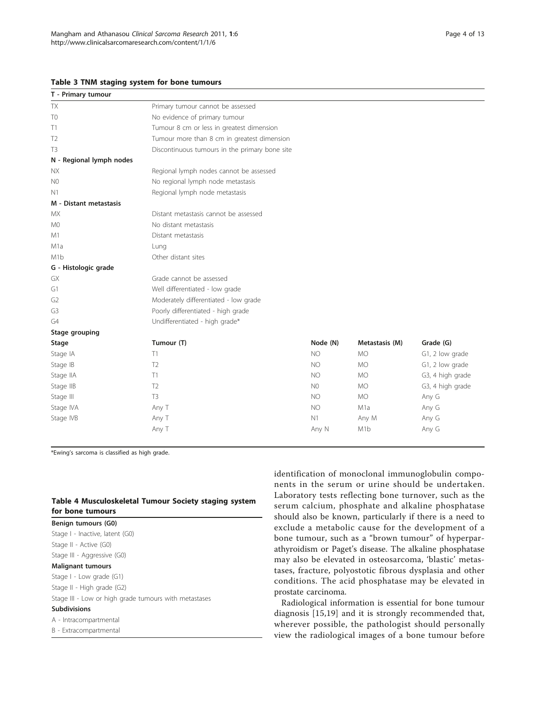<span id="page-3-0"></span>

| Table 3 TNM staging system for bone tumours |  |  |  |
|---------------------------------------------|--|--|--|
|---------------------------------------------|--|--|--|

| T - Primary tumour       |                                                |                |                  |                  |  |  |
|--------------------------|------------------------------------------------|----------------|------------------|------------------|--|--|
| TX                       | Primary tumour cannot be assessed              |                |                  |                  |  |  |
| T <sub>0</sub>           | No evidence of primary tumour                  |                |                  |                  |  |  |
| T1                       | Tumour 8 cm or less in greatest dimension      |                |                  |                  |  |  |
| T <sub>2</sub>           | Tumour more than 8 cm in greatest dimension    |                |                  |                  |  |  |
| T <sub>3</sub>           | Discontinuous tumours in the primary bone site |                |                  |                  |  |  |
| N - Regional lymph nodes |                                                |                |                  |                  |  |  |
| <b>NX</b>                | Regional lymph nodes cannot be assessed        |                |                  |                  |  |  |
| N <sub>0</sub>           | No regional lymph node metastasis              |                |                  |                  |  |  |
| N1                       | Regional lymph node metastasis                 |                |                  |                  |  |  |
| M - Distant metastasis   |                                                |                |                  |                  |  |  |
| <b>MX</b>                | Distant metastasis cannot be assessed          |                |                  |                  |  |  |
| M <sub>0</sub>           | No distant metastasis                          |                |                  |                  |  |  |
| M1                       | Distant metastasis                             |                |                  |                  |  |  |
| M1a                      | Lung                                           |                |                  |                  |  |  |
| M <sub>1</sub> b         | Other distant sites                            |                |                  |                  |  |  |
| G - Histologic grade     |                                                |                |                  |                  |  |  |
| GX                       | Grade cannot be assessed                       |                |                  |                  |  |  |
| G1                       | Well differentiated - low grade                |                |                  |                  |  |  |
| G <sub>2</sub>           | Moderately differentiated - low grade          |                |                  |                  |  |  |
| G <sub>3</sub>           | Poorly differentiated - high grade             |                |                  |                  |  |  |
| G4                       | Undifferentiated - high grade*                 |                |                  |                  |  |  |
| Stage grouping           |                                                |                |                  |                  |  |  |
| Stage                    | Tumour (T)                                     | Node (N)       | Metastasis (M)   | Grade (G)        |  |  |
| Stage IA                 | T1                                             | <b>NO</b>      | <b>MO</b>        | G1, 2 low grade  |  |  |
| Stage IB                 | T <sub>2</sub>                                 | <b>NO</b>      | <b>MO</b>        | G1, 2 low grade  |  |  |
| Stage IIA                | T1                                             | <b>NO</b>      | <b>MO</b>        | G3, 4 high grade |  |  |
| Stage IIB                | T <sub>2</sub>                                 | N <sub>0</sub> | <b>MO</b>        | G3, 4 high grade |  |  |
| Stage III                | T <sub>3</sub>                                 | <b>NO</b>      | <b>MO</b>        | Any G            |  |  |
| Stage IVA                | Any T                                          | <b>NO</b>      | M <sub>1</sub> a | Any G            |  |  |
| Stage IVB                | Any T                                          | N1             | Any M            | Any G            |  |  |
|                          | Any T                                          | Any N          | M <sub>1</sub> b | Any G            |  |  |
|                          |                                                |                |                  |                  |  |  |

\*Ewing's sarcoma is classified as high grade.

## Table 4 Musculoskeletal Tumour Society staging system for bone tumours

Benign tumours (G0) Stage I - Inactive, latent (G0) Stage II - Active (G0) Stage III - Aggressive (G0) Malignant tumours Stage I - Low grade (G1) Stage II - High grade (G2) Stage III - Low or high grade tumours with metastases Subdivisions A - Intracompartmental B - Extracompartmental

identification of monoclonal immunoglobulin components in the serum or urine should be undertaken. Laboratory tests reflecting bone turnover, such as the serum calcium, phosphate and alkaline phosphatase should also be known, particularly if there is a need to exclude a metabolic cause for the development of a bone tumour, such as a "brown tumour" of hyperparathyroidism or Paget's disease. The alkaline phosphatase may also be elevated in osteosarcoma, 'blastic' metastases, fracture, polyostotic fibrous dysplasia and other conditions. The acid phosphatase may be elevated in prostate carcinoma.

Radiological information is essential for bone tumour diagnosis [\[15,19](#page-11-0)] and it is strongly recommended that, wherever possible, the pathologist should personally view the radiological images of a bone tumour before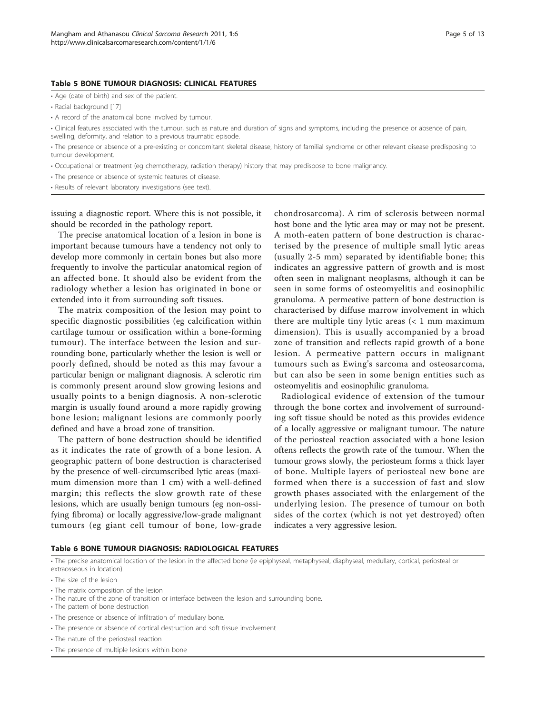#### <span id="page-4-0"></span>Table 5 BONE TUMOUR DIAGNOSIS: CLINICAL FEATURES

• Age (date of birth) and sex of the patient.

- Racial background [[17](#page-11-0)]
- A record of the anatomical bone involved by tumour.
- Clinical features associated with the tumour, such as nature and duration of signs and symptoms, including the presence or absence of pain, swelling, deformity, and relation to a previous traumatic episode.
- The presence or absence of a pre-existing or concomitant skeletal disease, history of familial syndrome or other relevant disease predisposing to tumour development.

• Occupational or treatment (eg chemotherapy, radiation therapy) history that may predispose to bone malignancy.

• The presence or absence of systemic features of disease.

• Results of relevant laboratory investigations (see text).

issuing a diagnostic report. Where this is not possible, it should be recorded in the pathology report.

The precise anatomical location of a lesion in bone is important because tumours have a tendency not only to develop more commonly in certain bones but also more frequently to involve the particular anatomical region of an affected bone. It should also be evident from the radiology whether a lesion has originated in bone or extended into it from surrounding soft tissues.

The matrix composition of the lesion may point to specific diagnostic possibilities (eg calcification within cartilage tumour or ossification within a bone-forming tumour). The interface between the lesion and surrounding bone, particularly whether the lesion is well or poorly defined, should be noted as this may favour a particular benign or malignant diagnosis. A sclerotic rim is commonly present around slow growing lesions and usually points to a benign diagnosis. A non-sclerotic margin is usually found around a more rapidly growing bone lesion; malignant lesions are commonly poorly defined and have a broad zone of transition.

The pattern of bone destruction should be identified as it indicates the rate of growth of a bone lesion. A geographic pattern of bone destruction is characterised by the presence of well-circumscribed lytic areas (maximum dimension more than 1 cm) with a well-defined margin; this reflects the slow growth rate of these lesions, which are usually benign tumours (eg non-ossifying fibroma) or locally aggressive/low-grade malignant tumours (eg giant cell tumour of bone, low-grade

chondrosarcoma). A rim of sclerosis between normal host bone and the lytic area may or may not be present. A moth-eaten pattern of bone destruction is characterised by the presence of multiple small lytic areas (usually 2-5 mm) separated by identifiable bone; this indicates an aggressive pattern of growth and is most often seen in malignant neoplasms, although it can be seen in some forms of osteomyelitis and eosinophilic granuloma. A permeative pattern of bone destruction is characterised by diffuse marrow involvement in which there are multiple tiny lytic areas  $(< 1$  mm maximum dimension). This is usually accompanied by a broad zone of transition and reflects rapid growth of a bone lesion. A permeative pattern occurs in malignant tumours such as Ewing's sarcoma and osteosarcoma, but can also be seen in some benign entities such as osteomyelitis and eosinophilic granuloma.

Radiological evidence of extension of the tumour through the bone cortex and involvement of surrounding soft tissue should be noted as this provides evidence of a locally aggressive or malignant tumour. The nature of the periosteal reaction associated with a bone lesion oftens reflects the growth rate of the tumour. When the tumour grows slowly, the periosteum forms a thick layer of bone. Multiple layers of periosteal new bone are formed when there is a succession of fast and slow growth phases associated with the enlargement of the underlying lesion. The presence of tumour on both sides of the cortex (which is not yet destroyed) often indicates a very aggressive lesion.

#### Table 6 BONE TUMOUR DIAGNOSIS: RADIOLOGICAL FEATURES

• The precise anatomical location of the lesion in the affected bone (ie epiphyseal, metaphyseal, diaphyseal, medullary, cortical, periosteal or extraosseous in location).

- The size of the lesion
- The matrix composition of the lesion
- The nature of the zone of transition or interface between the lesion and surrounding bone.
- The pattern of bone destruction
- The presence or absence of infiltration of medullary bone.
- The presence or absence of cortical destruction and soft tissue involvement
- The nature of the periosteal reaction
- The presence of multiple lesions within bone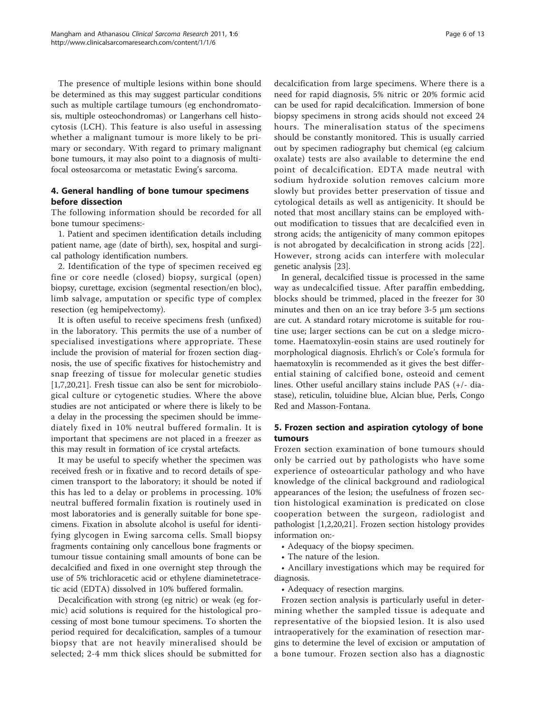The presence of multiple lesions within bone should be determined as this may suggest particular conditions such as multiple cartilage tumours (eg enchondromatosis, multiple osteochondromas) or Langerhans cell histocytosis (LCH). This feature is also useful in assessing whether a malignant tumour is more likely to be primary or secondary. With regard to primary malignant bone tumours, it may also point to a diagnosis of multifocal osteosarcoma or metastatic Ewing's sarcoma.

# 4. General handling of bone tumour specimens before dissection

The following information should be recorded for all bone tumour specimens:-

1. Patient and specimen identification details including patient name, age (date of birth), sex, hospital and surgical pathology identification numbers.

2. Identification of the type of specimen received eg fine or core needle (closed) biopsy, surgical (open) biopsy, curettage, excision (segmental resection/en bloc), limb salvage, amputation or specific type of complex resection (eg hemipelvectomy).

It is often useful to receive specimens fresh (unfixed) in the laboratory. This permits the use of a number of specialised investigations where appropriate. These include the provision of material for frozen section diagnosis, the use of specific fixatives for histochemistry and snap freezing of tissue for molecular genetic studies [[1,7,](#page-10-0)[20,21](#page-11-0)]. Fresh tissue can also be sent for microbiological culture or cytogenetic studies. Where the above studies are not anticipated or where there is likely to be a delay in the processing the specimen should be immediately fixed in 10% neutral buffered formalin. It is important that specimens are not placed in a freezer as this may result in formation of ice crystal artefacts.

It may be useful to specify whether the specimen was received fresh or in fixative and to record details of specimen transport to the laboratory; it should be noted if this has led to a delay or problems in processing. 10% neutral buffered formalin fixation is routinely used in most laboratories and is generally suitable for bone specimens. Fixation in absolute alcohol is useful for identifying glycogen in Ewing sarcoma cells. Small biopsy fragments containing only cancellous bone fragments or tumour tissue containing small amounts of bone can be decalcified and fixed in one overnight step through the use of 5% trichloracetic acid or ethylene diaminetetracetic acid (EDTA) dissolved in 10% buffered formalin.

Decalcification with strong (eg nitric) or weak (eg formic) acid solutions is required for the histological processing of most bone tumour specimens. To shorten the period required for decalcification, samples of a tumour biopsy that are not heavily mineralised should be selected; 2-4 mm thick slices should be submitted for decalcification from large specimens. Where there is a need for rapid diagnosis, 5% nitric or 20% formic acid can be used for rapid decalcification. Immersion of bone biopsy specimens in strong acids should not exceed 24 hours. The mineralisation status of the specimens should be constantly monitored. This is usually carried out by specimen radiography but chemical (eg calcium oxalate) tests are also available to determine the end point of decalcification. EDTA made neutral with sodium hydroxide solution removes calcium more slowly but provides better preservation of tissue and cytological details as well as antigenicity. It should be noted that most ancillary stains can be employed without modification to tissues that are decalcified even in strong acids; the antigenicity of many common epitopes is not abrogated by decalcification in strong acids [[22](#page-11-0)]. However, strong acids can interfere with molecular genetic analysis [\[23](#page-11-0)].

In general, decalcified tissue is processed in the same way as undecalcified tissue. After paraffin embedding, blocks should be trimmed, placed in the freezer for 30 minutes and then on an ice tray before 3-5 μm sections are cut. A standard rotary microtome is suitable for routine use; larger sections can be cut on a sledge microtome. Haematoxylin-eosin stains are used routinely for morphological diagnosis. Ehrlich's or Cole's formula for haematoxylin is recommended as it gives the best differential staining of calcified bone, osteoid and cement lines. Other useful ancillary stains include PAS (+/- diastase), reticulin, toluidine blue, Alcian blue, Perls, Congo Red and Masson-Fontana.

# 5. Frozen section and aspiration cytology of bone tumours

Frozen section examination of bone tumours should only be carried out by pathologists who have some experience of osteoarticular pathology and who have knowledge of the clinical background and radiological appearances of the lesion; the usefulness of frozen section histological examination is predicated on close cooperation between the surgeon, radiologist and pathologist [\[1,2](#page-10-0)[,20,21](#page-11-0)]. Frozen section histology provides information on:-

- Adequacy of the biopsy specimen.
- The nature of the lesion.

• Ancillary investigations which may be required for diagnosis.

• Adequacy of resection margins.

Frozen section analysis is particularly useful in determining whether the sampled tissue is adequate and representative of the biopsied lesion. It is also used intraoperatively for the examination of resection margins to determine the level of excision or amputation of a bone tumour. Frozen section also has a diagnostic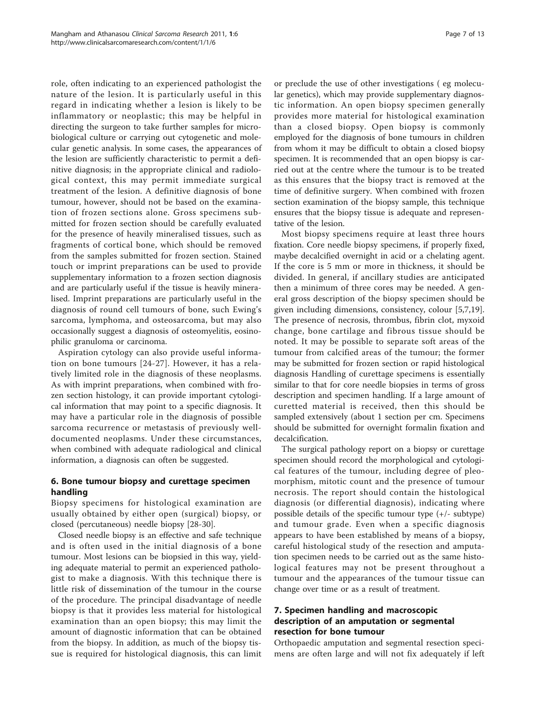role, often indicating to an experienced pathologist the nature of the lesion. It is particularly useful in this regard in indicating whether a lesion is likely to be inflammatory or neoplastic; this may be helpful in directing the surgeon to take further samples for microbiological culture or carrying out cytogenetic and molecular genetic analysis. In some cases, the appearances of the lesion are sufficiently characteristic to permit a definitive diagnosis; in the appropriate clinical and radiological context, this may permit immediate surgical treatment of the lesion. A definitive diagnosis of bone tumour, however, should not be based on the examination of frozen sections alone. Gross specimens submitted for frozen section should be carefully evaluated for the presence of heavily mineralised tissues, such as fragments of cortical bone, which should be removed from the samples submitted for frozen section. Stained touch or imprint preparations can be used to provide supplementary information to a frozen section diagnosis and are particularly useful if the tissue is heavily mineralised. Imprint preparations are particularly useful in the diagnosis of round cell tumours of bone, such Ewing's sarcoma, lymphoma, and osteosarcoma, but may also occasionally suggest a diagnosis of osteomyelitis, eosinophilic granuloma or carcinoma.

Aspiration cytology can also provide useful information on bone tumours [[24-27\]](#page-11-0). However, it has a relatively limited role in the diagnosis of these neoplasms. As with imprint preparations, when combined with frozen section histology, it can provide important cytological information that may point to a specific diagnosis. It may have a particular role in the diagnosis of possible sarcoma recurrence or metastasis of previously welldocumented neoplasms. Under these circumstances, when combined with adequate radiological and clinical information, a diagnosis can often be suggested.

# 6. Bone tumour biopsy and curettage specimen handling

Biopsy specimens for histological examination are usually obtained by either open (surgical) biopsy, or closed (percutaneous) needle biopsy [\[28-30](#page-11-0)].

Closed needle biopsy is an effective and safe technique and is often used in the initial diagnosis of a bone tumour. Most lesions can be biopsied in this way, yielding adequate material to permit an experienced pathologist to make a diagnosis. With this technique there is little risk of dissemination of the tumour in the course of the procedure. The principal disadvantage of needle biopsy is that it provides less material for histological examination than an open biopsy; this may limit the amount of diagnostic information that can be obtained from the biopsy. In addition, as much of the biopsy tissue is required for histological diagnosis, this can limit

or preclude the use of other investigations ( eg molecular genetics), which may provide supplementary diagnostic information. An open biopsy specimen generally provides more material for histological examination than a closed biopsy. Open biopsy is commonly employed for the diagnosis of bone tumours in children from whom it may be difficult to obtain a closed biopsy specimen. It is recommended that an open biopsy is carried out at the centre where the tumour is to be treated as this ensures that the biopsy tract is removed at the time of definitive surgery. When combined with frozen section examination of the biopsy sample, this technique ensures that the biopsy tissue is adequate and representative of the lesion.

Most biopsy specimens require at least three hours fixation. Core needle biopsy specimens, if properly fixed, maybe decalcified overnight in acid or a chelating agent. If the core is 5 mm or more in thickness, it should be divided. In general, if ancillary studies are anticipated then a minimum of three cores may be needed. A general gross description of the biopsy specimen should be given including dimensions, consistency, colour [\[5,7](#page-10-0)[,19](#page-11-0)]. The presence of necrosis, thrombus, fibrin clot, myxoid change, bone cartilage and fibrous tissue should be noted. It may be possible to separate soft areas of the tumour from calcified areas of the tumour; the former may be submitted for frozen section or rapid histological diagnosis Handling of curettage specimens is essentially similar to that for core needle biopsies in terms of gross description and specimen handling. If a large amount of curetted material is received, then this should be sampled extensively (about 1 section per cm. Specimens should be submitted for overnight formalin fixation and decalcification.

The surgical pathology report on a biopsy or curettage specimen should record the morphological and cytological features of the tumour, including degree of pleomorphism, mitotic count and the presence of tumour necrosis. The report should contain the histological diagnosis (or differential diagnosis), indicating where possible details of the specific tumour type (+/- subtype) and tumour grade. Even when a specific diagnosis appears to have been established by means of a biopsy, careful histological study of the resection and amputation specimen needs to be carried out as the same histological features may not be present throughout a tumour and the appearances of the tumour tissue can change over time or as a result of treatment.

# 7. Specimen handling and macroscopic description of an amputation or segmental resection for bone tumour

Orthopaedic amputation and segmental resection specimens are often large and will not fix adequately if left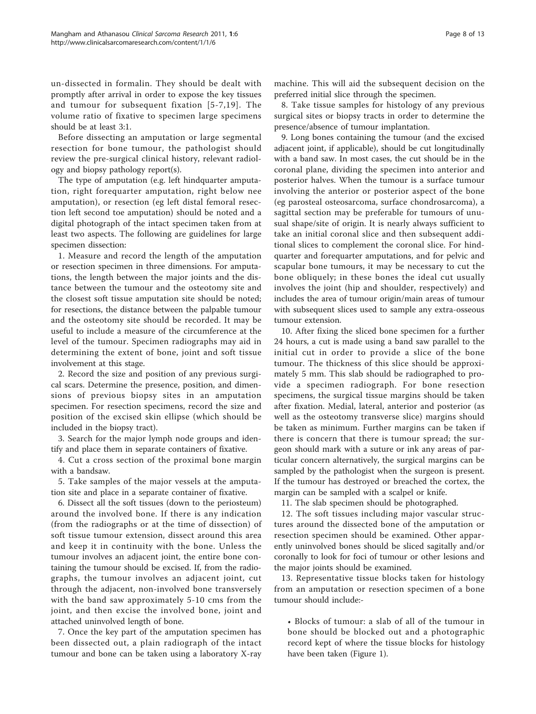un-dissected in formalin. They should be dealt with promptly after arrival in order to expose the key tissues and tumour for subsequent fixation [[5](#page-10-0)-[7,](#page-10-0)[19](#page-11-0)]. The volume ratio of fixative to specimen large specimens should be at least 3:1.

Before dissecting an amputation or large segmental resection for bone tumour, the pathologist should review the pre-surgical clinical history, relevant radiology and biopsy pathology report(s).

The type of amputation (e.g. left hindquarter amputation, right forequarter amputation, right below nee amputation), or resection (eg left distal femoral resection left second toe amputation) should be noted and a digital photograph of the intact specimen taken from at least two aspects. The following are guidelines for large specimen dissection:

1. Measure and record the length of the amputation or resection specimen in three dimensions. For amputations, the length between the major joints and the distance between the tumour and the osteotomy site and the closest soft tissue amputation site should be noted; for resections, the distance between the palpable tumour and the osteotomy site should be recorded. It may be useful to include a measure of the circumference at the level of the tumour. Specimen radiographs may aid in determining the extent of bone, joint and soft tissue involvement at this stage.

2. Record the size and position of any previous surgical scars. Determine the presence, position, and dimensions of previous biopsy sites in an amputation specimen. For resection specimens, record the size and position of the excised skin ellipse (which should be included in the biopsy tract).

3. Search for the major lymph node groups and identify and place them in separate containers of fixative.

4. Cut a cross section of the proximal bone margin with a bandsaw.

5. Take samples of the major vessels at the amputation site and place in a separate container of fixative.

6. Dissect all the soft tissues (down to the periosteum) around the involved bone. If there is any indication (from the radiographs or at the time of dissection) of soft tissue tumour extension, dissect around this area and keep it in continuity with the bone. Unless the tumour involves an adjacent joint, the entire bone containing the tumour should be excised. If, from the radiographs, the tumour involves an adjacent joint, cut through the adjacent, non-involved bone transversely with the band saw approximately 5-10 cms from the joint, and then excise the involved bone, joint and attached uninvolved length of bone.

7. Once the key part of the amputation specimen has been dissected out, a plain radiograph of the intact tumour and bone can be taken using a laboratory X-ray machine. This will aid the subsequent decision on the preferred initial slice through the specimen.

8. Take tissue samples for histology of any previous surgical sites or biopsy tracts in order to determine the presence/absence of tumour implantation.

9. Long bones containing the tumour (and the excised adjacent joint, if applicable), should be cut longitudinally with a band saw. In most cases, the cut should be in the coronal plane, dividing the specimen into anterior and posterior halves. When the tumour is a surface tumour involving the anterior or posterior aspect of the bone (eg parosteal osteosarcoma, surface chondrosarcoma), a sagittal section may be preferable for tumours of unusual shape/site of origin. It is nearly always sufficient to take an initial coronal slice and then subsequent additional slices to complement the coronal slice. For hindquarter and forequarter amputations, and for pelvic and scapular bone tumours, it may be necessary to cut the bone obliquely; in these bones the ideal cut usually involves the joint (hip and shoulder, respectively) and includes the area of tumour origin/main areas of tumour with subsequent slices used to sample any extra-osseous tumour extension.

10. After fixing the sliced bone specimen for a further 24 hours, a cut is made using a band saw parallel to the initial cut in order to provide a slice of the bone tumour. The thickness of this slice should be approximately 5 mm. This slab should be radiographed to provide a specimen radiograph. For bone resection specimens, the surgical tissue margins should be taken after fixation. Medial, lateral, anterior and posterior (as well as the osteotomy transverse slice) margins should be taken as minimum. Further margins can be taken if there is concern that there is tumour spread; the surgeon should mark with a suture or ink any areas of particular concern alternatively, the surgical margins can be sampled by the pathologist when the surgeon is present. If the tumour has destroyed or breached the cortex, the margin can be sampled with a scalpel or knife.

11. The slab specimen should be photographed.

12. The soft tissues including major vascular structures around the dissected bone of the amputation or resection specimen should be examined. Other apparently uninvolved bones should be sliced sagitally and/or coronally to look for foci of tumour or other lesions and the major joints should be examined.

13. Representative tissue blocks taken for histology from an amputation or resection specimen of a bone tumour should include:-

• Blocks of tumour: a slab of all of the tumour in bone should be blocked out and a photographic record kept of where the tissue blocks for histology have been taken (Figure [1](#page-8-0)).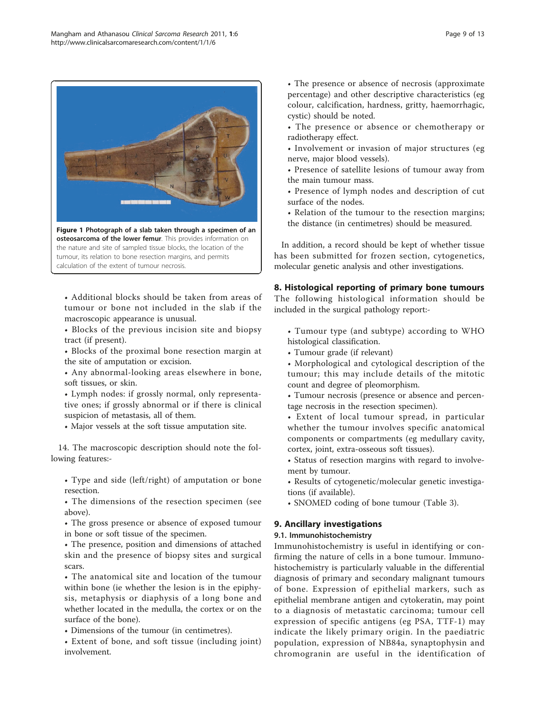<span id="page-8-0"></span>

the nature and site of sampled tissue blocks, the location of the tumour, its relation to bone resection margins, and permits calculation of the extent of tumour necrosis.

• Additional blocks should be taken from areas of tumour or bone not included in the slab if the macroscopic appearance is unusual.

• Blocks of the previous incision site and biopsy tract (if present).

• Blocks of the proximal bone resection margin at the site of amputation or excision.

• Any abnormal-looking areas elsewhere in bone, soft tissues, or skin.

• Lymph nodes: if grossly normal, only representative ones; if grossly abnormal or if there is clinical suspicion of metastasis, all of them.

• Major vessels at the soft tissue amputation site.

14. The macroscopic description should note the following features:-

• Type and side (left/right) of amputation or bone resection.

• The dimensions of the resection specimen (see above).

• The gross presence or absence of exposed tumour in bone or soft tissue of the specimen.

• The presence, position and dimensions of attached skin and the presence of biopsy sites and surgical scars.

• The anatomical site and location of the tumour within bone (ie whether the lesion is in the epiphysis, metaphysis or diaphysis of a long bone and whether located in the medulla, the cortex or on the surface of the bone).

• Dimensions of the tumour (in centimetres).

• Extent of bone, and soft tissue (including joint) involvement.

• The presence or absence of necrosis (approximate percentage) and other descriptive characteristics (eg colour, calcification, hardness, gritty, haemorrhagic, cystic) should be noted.

• The presence or absence or chemotherapy or radiotherapy effect.

• Involvement or invasion of major structures (eg nerve, major blood vessels).

• Presence of satellite lesions of tumour away from the main tumour mass.

• Presence of lymph nodes and description of cut surface of the nodes.

• Relation of the tumour to the resection margins; the distance (in centimetres) should be measured.

In addition, a record should be kept of whether tissue has been submitted for frozen section, cytogenetics, molecular genetic analysis and other investigations.

# 8. Histological reporting of primary bone tumours

The following histological information should be included in the surgical pathology report:-

• Tumour type (and subtype) according to WHO histological classification.

• Tumour grade (if relevant)

• Morphological and cytological description of the tumour; this may include details of the mitotic count and degree of pleomorphism.

• Tumour necrosis (presence or absence and percentage necrosis in the resection specimen).

• Extent of local tumour spread, in particular whether the tumour involves specific anatomical components or compartments (eg medullary cavity, cortex, joint, extra-osseous soft tissues).

• Status of resection margins with regard to involvement by tumour.

• Results of cytogenetic/molecular genetic investigations (if available).

• SNOMED coding of bone tumour (Table [3\)](#page-3-0).

# 9. Ancillary investigations

### 9.1. Immunohistochemistry

Immunohistochemistry is useful in identifying or confirming the nature of cells in a bone tumour. Immunohistochemistry is particularly valuable in the differential diagnosis of primary and secondary malignant tumours of bone. Expression of epithelial markers, such as epithelial membrane antigen and cytokeratin, may point to a diagnosis of metastatic carcinoma; tumour cell expression of specific antigens (eg PSA, TTF-1) may indicate the likely primary origin. In the paediatric population, expression of NB84a, synaptophysin and chromogranin are useful in the identification of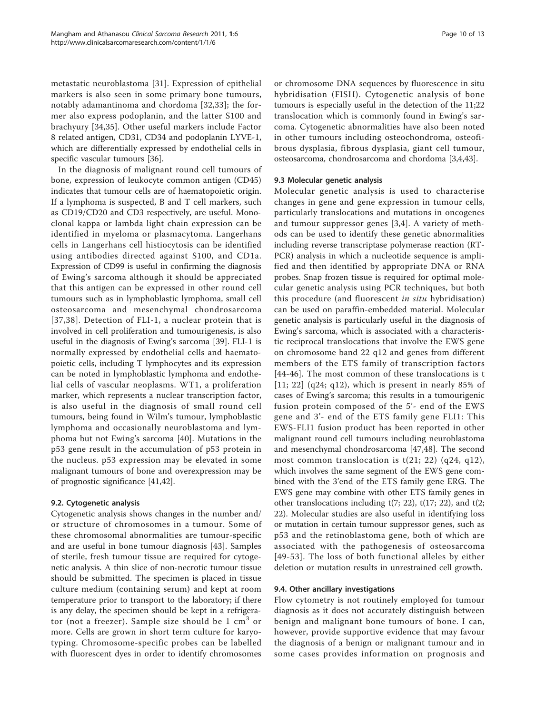metastatic neuroblastoma [\[31](#page-11-0)]. Expression of epithelial markers is also seen in some primary bone tumours, notably adamantinoma and chordoma [\[32](#page-11-0),[33\]](#page-11-0); the former also express podoplanin, and the latter S100 and brachyury [[34,35](#page-11-0)]. Other useful markers include Factor 8 related antigen, CD31, CD34 and podoplanin LYVE-1, which are differentially expressed by endothelial cells in specific vascular tumours [[36\]](#page-11-0).

In the diagnosis of malignant round cell tumours of bone, expression of leukocyte common antigen (CD45) indicates that tumour cells are of haematopoietic origin. If a lymphoma is suspected, B and T cell markers, such as CD19/CD20 and CD3 respectively, are useful. Monoclonal kappa or lambda light chain expression can be identified in myeloma or plasmacytoma. Langerhans cells in Langerhans cell histiocytosis can be identified using antibodies directed against S100, and CD1a. Expression of CD99 is useful in confirming the diagnosis of Ewing's sarcoma although it should be appreciated that this antigen can be expressed in other round cell tumours such as in lymphoblastic lymphoma, small cell osteosarcoma and mesenchymal chondrosarcoma [[37,38\]](#page-11-0). Detection of FLI-1, a nuclear protein that is involved in cell proliferation and tumourigenesis, is also useful in the diagnosis of Ewing's sarcoma [[39\]](#page-11-0). FLI-1 is normally expressed by endothelial cells and haematopoietic cells, including T lymphocytes and its expression can be noted in lymphoblastic lymphoma and endothelial cells of vascular neoplasms. WT1, a proliferation marker, which represents a nuclear transcription factor, is also useful in the diagnosis of small round cell tumours, being found in Wilm's tumour, lymphoblastic lymphoma and occasionally neuroblastoma and lymphoma but not Ewing's sarcoma [\[40](#page-11-0)]. Mutations in the p53 gene result in the accumulation of p53 protein in the nucleus. p53 expression may be elevated in some malignant tumours of bone and overexpression may be of prognostic significance [[41](#page-11-0),[42](#page-11-0)].

### 9.2. Cytogenetic analysis

Cytogenetic analysis shows changes in the number and/ or structure of chromosomes in a tumour. Some of these chromosomal abnormalities are tumour-specific and are useful in bone tumour diagnosis [[43](#page-11-0)]. Samples of sterile, fresh tumour tissue are required for cytogenetic analysis. A thin slice of non-necrotic tumour tissue should be submitted. The specimen is placed in tissue culture medium (containing serum) and kept at room temperature prior to transport to the laboratory; if there is any delay, the specimen should be kept in a refrigerator (not a freezer). Sample size should be  $1 \text{ cm}^3$  or more. Cells are grown in short term culture for karyotyping. Chromosome-specific probes can be labelled with fluorescent dyes in order to identify chromosomes

or chromosome DNA sequences by fluorescence in situ hybridisation (FISH). Cytogenetic analysis of bone tumours is especially useful in the detection of the 11;22 translocation which is commonly found in Ewing's sarcoma. Cytogenetic abnormalities have also been noted in other tumours including osteochondroma, osteofibrous dysplasia, fibrous dysplasia, giant cell tumour, osteosarcoma, chondrosarcoma and chordoma [\[3,4](#page-10-0)[,43\]](#page-11-0).

### 9.3 Molecular genetic analysis

Molecular genetic analysis is used to characterise changes in gene and gene expression in tumour cells, particularly translocations and mutations in oncogenes and tumour suppressor genes [[3,4](#page-10-0)]. A variety of methods can be used to identify these genetic abnormalities including reverse transcriptase polymerase reaction (RT-PCR) analysis in which a nucleotide sequence is amplified and then identified by appropriate DNA or RNA probes. Snap frozen tissue is required for optimal molecular genetic analysis using PCR techniques, but both this procedure (and fluorescent *in situ* hybridisation) can be used on paraffin-embedded material. Molecular genetic analysis is particularly useful in the diagnosis of Ewing's sarcoma, which is associated with a characteristic reciprocal translocations that involve the EWS gene on chromosome band 22 q12 and genes from different members of the ETS family of transcription factors [[44](#page-11-0)-[46\]](#page-11-0). The most common of these translocations is t  $[11; 22]$  (q24; q12), which is present in nearly 85% of cases of Ewing's sarcoma; this results in a tumourigenic fusion protein composed of the 5'- end of the EWS gene and 3'- end of the ETS family gene FLI1: This EWS-FLI1 fusion product has been reported in other malignant round cell tumours including neuroblastoma and mesenchymal chondrosarcoma [[47,48](#page-11-0)]. The second most common translocation is  $t(21; 22)$  (q24, q12), which involves the same segment of the EWS gene combined with the 3'end of the ETS family gene ERG. The EWS gene may combine with other ETS family genes in other translocations including  $t(7; 22)$ ,  $t(17; 22)$ , and  $t(2;$ 22). Molecular studies are also useful in identifying loss or mutation in certain tumour suppressor genes, such as p53 and the retinoblastoma gene, both of which are associated with the pathogenesis of osteosarcoma [[49-53](#page-11-0)]. The loss of both functional alleles by either deletion or mutation results in unrestrained cell growth.

### 9.4. Other ancillary investigations

Flow cytometry is not routinely employed for tumour diagnosis as it does not accurately distinguish between benign and malignant bone tumours of bone. I can, however, provide supportive evidence that may favour the diagnosis of a benign or malignant tumour and in some cases provides information on prognosis and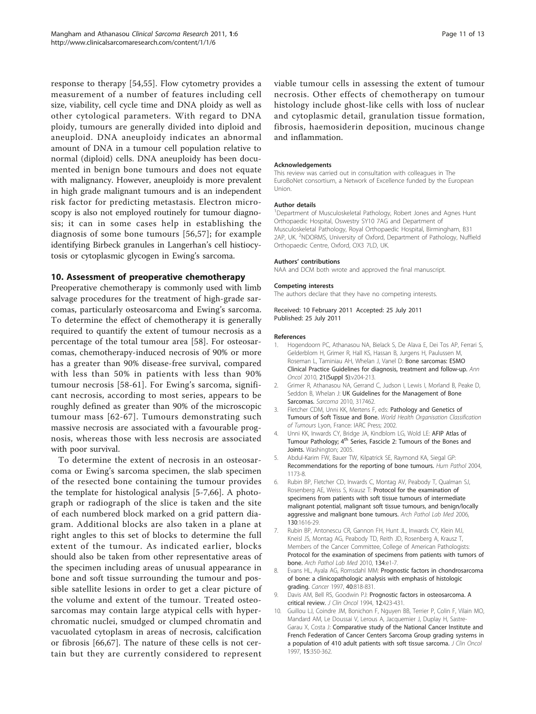<span id="page-10-0"></span>response to therapy [[54,55](#page-11-0)]. Flow cytometry provides a measurement of a number of features including cell size, viability, cell cycle time and DNA ploidy as well as other cytological parameters. With regard to DNA ploidy, tumours are generally divided into diploid and aneuploid. DNA aneuploidy indicates an abnormal amount of DNA in a tumour cell population relative to normal (diploid) cells. DNA aneuploidy has been documented in benign bone tumours and does not equate with malignancy. However, aneuploidy is more prevalent in high grade malignant tumours and is an independent risk factor for predicting metastasis. Electron microscopy is also not employed routinely for tumour diagnosis; it can in some cases help in establishing the diagnosis of some bone tumours [\[56,](#page-11-0)[57\]](#page-12-0); for example identifying Birbeck granules in Langerhan's cell histiocytosis or cytoplasmic glycogen in Ewing's sarcoma.

#### 10. Assessment of preoperative chemotherapy

Preoperative chemotherapy is commonly used with limb salvage procedures for the treatment of high-grade sarcomas, particularly osteosarcoma and Ewing's sarcoma. To determine the effect of chemotherapy it is generally required to quantify the extent of tumour necrosis as a percentage of the total tumour area [[58\]](#page-12-0). For osteosarcomas, chemotherapy-induced necrosis of 90% or more has a greater than 90% disease-free survival, compared with less than 50% in patients with less than 90% tumour necrosis [\[58-61\]](#page-12-0). For Ewing's sarcoma, significant necrosis, according to most series, appears to be roughly defined as greater than 90% of the microscopic tumour mass [[62](#page-12-0)-[67\]](#page-12-0). Tumours demonstrating such massive necrosis are associated with a favourable prognosis, whereas those with less necrosis are associated with poor survival.

To determine the extent of necrosis in an osteosarcoma or Ewing's sarcoma specimen, the slab specimen of the resected bone containing the tumour provides the template for histological analysis [5-7[,66](#page-12-0)]. A photograph or radiograph of the slice is taken and the site of each numbered block marked on a grid pattern diagram. Additional blocks are also taken in a plane at right angles to this set of blocks to determine the full extent of the tumour. As indicated earlier, blocks should also be taken from other representative areas of the specimen including areas of unusual appearance in bone and soft tissue surrounding the tumour and possible satellite lesions in order to get a clear picture of the volume and extent of the tumour. Treated osteosarcomas may contain large atypical cells with hyperchromatic nuclei, smudged or clumped chromatin and vacuolated cytoplasm in areas of necrosis, calcification or fibrosis [\[66](#page-12-0),[67\]](#page-12-0). The nature of these cells is not certain but they are currently considered to represent

viable tumour cells in assessing the extent of tumour necrosis. Other effects of chemotherapy on tumour histology include ghost-like cells with loss of nuclear and cytoplasmic detail, granulation tissue formation, fibrosis, haemosiderin deposition, mucinous change and inflammation.

#### Acknowledgements

This review was carried out in consultation with colleagues in The EuroBoNet consortium, a Network of Excellence funded by the European Union.

#### Author details

<sup>1</sup>Department of Musculoskeletal Pathology, Robert Jones and Agnes Hunt Orthopaedic Hospital, Oswestry SY10 7AG and Department of Musculoskeletal Pathology, Royal Orthopaedic Hospital, Birmingham, B31 2AP, UK. <sup>2</sup>NDORMS, University of Oxford, Department of Pathology, Nuffield Orthopaedic Centre, Oxford, OX3 7LD, UK.

#### Authors' contributions

NAA and DCM both wrote and approved the final manuscript.

#### Competing interests

The authors declare that they have no competing interests.

#### Received: 10 February 2011 Accepted: 25 July 2011 Published: 25 July 2011

#### References

- 1. Hogendoorn PC, Athanasou NA, Bielack S, De Alava E, Dei Tos AP, Ferrari S, Gelderblom H, Grimer R, Hall KS, Hassan B, Jurgens H, Paulussen M, Roseman L, Taminiau AH, Whelan J, Vanel D: [Bone sarcomas: ESMO](http://www.ncbi.nlm.nih.gov/pubmed/20555083?dopt=Abstract) [Clinical Practice Guidelines for diagnosis, treatment and follow-up.](http://www.ncbi.nlm.nih.gov/pubmed/20555083?dopt=Abstract) Ann Oncol 2010, 21(Suppl 5):v204-213.
- 2. Grimer R, Athanasou NA, Gerrand C, Judson I, Lewis I, Morland B, Peake D, Seddon B, Whelan J: UK Guidelines for the Management of Bone Sarcomas. Sarcoma 2010, 317462.
- 3. Fletcher CDM, Unni KK, Mertens F, eds: Pathology and Genetics of Tumours of Soft Tissue and Bone. World Health Organisation Classification of Tumours Lyon, France: IARC Press; 2002.
- 4. Unni KK, Inwards CY, Bridge JA, Kindblom LG, Wold LE: AFIP Atlas of Tumour Pathology; 4<sup>th</sup> Series, Fascicle 2: Tumours of the Bones and Joints. Washington; 2005.
- 5. Abdul-Karim FW, Bauer TW, Kilpatrick SE, Raymond KA, Siegal GP: Recommendations for the reporting of bone tumours. Hum Pathol 2004, 1173-8.
- 6. Rubin BP, Fletcher CD, Inwards C, Montag AV, Peabody T, Qualman SJ, Rosenberg AE, Weiss S, Krausz T: [Protocol for the examination of](http://www.ncbi.nlm.nih.gov/pubmed/17076523?dopt=Abstract) [specimens from patients with soft tissue tumours of intermediate](http://www.ncbi.nlm.nih.gov/pubmed/17076523?dopt=Abstract) [malignant potential, malignant soft tissue tumours, and benign/locally](http://www.ncbi.nlm.nih.gov/pubmed/17076523?dopt=Abstract) [aggressive and malignant bone tumours.](http://www.ncbi.nlm.nih.gov/pubmed/17076523?dopt=Abstract) Arch Pathol Lab Med 2006, 130:1616-29.
- 7. Rubin BP, Antonescu CR, Gannon FH, Hunt JL, Inwards CY, Klein MJ, Kneisl JS, Montag AG, Peabody TD, Reith JD, Rosenberg A, Krausz T, Members of the Cancer Committee, College of American Pathologists: [Protocol for the examination of specimens from patients with tumors of](http://www.ncbi.nlm.nih.gov/pubmed/20367293?dopt=Abstract) [bone.](http://www.ncbi.nlm.nih.gov/pubmed/20367293?dopt=Abstract) Arch Pathol Lab Med 2010, 134:e1-7.
- 8. Evans HL, Ayala AG, Romsdahl MM: Prognostic factors in chondrosarcoma of bone: a clinicopathologic analysis with emphasis of histologic grading. Cancer 1997, 40:818-831.
- 9. Davis AM, Bell RS, Goodwin PJ: [Prognostic factors in osteosarcoma. A](http://www.ncbi.nlm.nih.gov/pubmed/8113851?dopt=Abstract) [critical review.](http://www.ncbi.nlm.nih.gov/pubmed/8113851?dopt=Abstract) J Clin Oncol 1994, 12:423-431.
- 10. Guillou LJ, Coindre JM, Bonichon F, Nguyen BB, Terrier P, Colin F, Vilain MO, Mandard AM, Le Doussai V, Lerous A, Jacquemier J, Duplay H, Sastre-Garau X, Costa J: [Comparative study of the National Cancer Institute and](http://www.ncbi.nlm.nih.gov/pubmed/8996162?dopt=Abstract) [French Federation of Cancer Centers Sarcoma Group grading systems in](http://www.ncbi.nlm.nih.gov/pubmed/8996162?dopt=Abstract) [a population of 410 adult patients with soft tissue sarcoma.](http://www.ncbi.nlm.nih.gov/pubmed/8996162?dopt=Abstract) J Clin Oncol 1997, 15:350-362.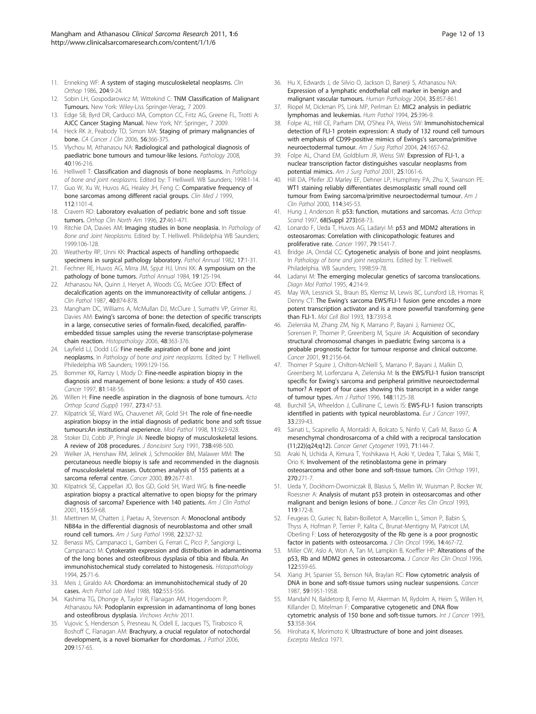- <span id="page-11-0"></span>11. Enneking WF: [A system of staging musculoskeletal neoplasms.](http://www.ncbi.nlm.nih.gov/pubmed/3456859?dopt=Abstract) Clin Orthop 1986, 204:9-24.
- 12. Sobin LH, Gospodarowicz M, Wittekind C: TNM Classification of Malignant Tumours. New York: Wiley-Liss Springer-Verag;, 7 2009.
- 13. Edge SB, Byrd DR, Carducci MA, Compton CC, Fritz AG, Greene FL, Trotti A: AJCC Cancer Staging Manual. New York, NY: Springer;, 7 2009.
- 14. Heck RK Jr, Peabody TD, Simon MA: [Staging of primary malignancies of](http://www.ncbi.nlm.nih.gov/pubmed/17135693?dopt=Abstract) [bone.](http://www.ncbi.nlm.nih.gov/pubmed/17135693?dopt=Abstract) CA Cancer J Clin 2006, 56:366-375.
- 15. Vlychou M, Athanasou NA: [Radiological and pathological diagnosis of](http://www.ncbi.nlm.nih.gov/pubmed/18203042?dopt=Abstract) [paediatric bone tumours and tumour-like lesions.](http://www.ncbi.nlm.nih.gov/pubmed/18203042?dopt=Abstract) Pathology 2008, 40:196-216.
- 16. Helliwell T: Classification and diagnosis of bone neoplasms. In Pathology of bone and joint neoplasms. Edited by: T Helliwell. WB Saunders; 1998:1-14.
- 17. Guo W, Xu W, Huvos AG, Healey JH, Feng C: Comparative frequency of bone sarcomas among different racial groups. Clin Med J 1999, 112:1101-4.
- 18. Cravern RD: [Laboratory evaluation of pediatric bone and soft tissue](http://www.ncbi.nlm.nih.gov/pubmed/8649729?dopt=Abstract) [tumors.](http://www.ncbi.nlm.nih.gov/pubmed/8649729?dopt=Abstract) Orthop Clin North Am 1996, 27:461-471.
- 19. Ritchie DA, Davies AM: Imaging studies in bone neoplasia. In Pathology of Bone and Joint Neoplasms. Edited by: T. Helliwell. Philidelphia WB Saunders; 1999:106-128.
- 20. Weatherby RP, Unni KK: Practical aspects of handling orthopaedic specimens in surgical pathology laboratory. Pathol Annual 1982, 17:1-31.
- 21. Fechner RE, Huvos AG, Mirra JM, Spjut HJ, Unni KK: A symposium on the pathology of bone tumors. Pathol Annual 1984, 19:125-194.
- 22. Athanasou NA, Quinn J, Heryet A, Woods CG, McGee JO'D: [Effect of](http://www.ncbi.nlm.nih.gov/pubmed/2443541?dopt=Abstract) [decalcification agents on the immunoreactivity of cellular antigens.](http://www.ncbi.nlm.nih.gov/pubmed/2443541?dopt=Abstract) J Clin Pathol 1987, 40:874-878.
- 23. Mangham DC, Williams A, McMullan DJ, McClure J, Sumathi VP, Grimer RJ, Davies AM: Ewing'[s sarcoma of bone: the detection of specific transcripts](http://www.ncbi.nlm.nih.gov/pubmed/16487358?dopt=Abstract) [in a large, consecutive series of formalin-fixed, decalcified, paraffin](http://www.ncbi.nlm.nih.gov/pubmed/16487358?dopt=Abstract)[embedded tissue samples using the reverse transcriptase-polymerase](http://www.ncbi.nlm.nih.gov/pubmed/16487358?dopt=Abstract) [chain reaction.](http://www.ncbi.nlm.nih.gov/pubmed/16487358?dopt=Abstract) Histopathology 2006, 48:363-376.
- 24. Layfield LJ, Dodd LG: Fine needle aspiration of bone and joint neoplasms. In Pathology of bone and joint neoplasms. Edited by: T Helliwell. Philedelphia WB Saunders; 1999:129-156.
- 25. Bommer KK, Ramzy I, Mody D: [Fine-needle aspiration biopsy in the](http://www.ncbi.nlm.nih.gov/pubmed/9196013?dopt=Abstract) [diagnosis and management of bone lesions: a study of 450 cases.](http://www.ncbi.nlm.nih.gov/pubmed/9196013?dopt=Abstract) Cancer 1997, 81:148-56.
- 26. Willen H: Fine needle aspiration in the diagnosis of bone tumours. Acta Orthop Scand (Suppl) 1997, 273:47-53.
- 27. Kilpatrick SE, Ward WG, Chauvenet AR, Gold SH: [The role of fine-needle](http://www.ncbi.nlm.nih.gov/pubmed/9796716?dopt=Abstract) [aspiration biopsy in the intial diagnosis of pediatric bone and soft tissue](http://www.ncbi.nlm.nih.gov/pubmed/9796716?dopt=Abstract) [tumours:An institutional experience.](http://www.ncbi.nlm.nih.gov/pubmed/9796716?dopt=Abstract) Mod Pathol 1998, 11:923-928.
- 28. Stoker DJ, Cobb JP, Pringle JA: Needle biopsy of musculoskeletal lesions. A review of 208 procedures. J BoneJoint Surg 1991, 73B:498-500.
- 29. Welker JA, Henshaw RM, Jelinek J, Schmookler BM, Malawer MM: [The](http://www.ncbi.nlm.nih.gov/pubmed/11135231?dopt=Abstract) [percutaneous needle biopsy is safe and recommended in the diagnosis](http://www.ncbi.nlm.nih.gov/pubmed/11135231?dopt=Abstract) [of musculoskeletal masses. Outcomes analysis of 155 patients at a](http://www.ncbi.nlm.nih.gov/pubmed/11135231?dopt=Abstract) [sarcoma referral centre.](http://www.ncbi.nlm.nih.gov/pubmed/11135231?dopt=Abstract) Cancer 2000, 89:2677-81.
- 30. Kilpatrick SE, Cappellari JO, Bos GD, Gold SH, Ward WG: [Is fine-needle](http://www.ncbi.nlm.nih.gov/pubmed/11190808?dopt=Abstract) [aspiration biopsy a practical alternative to open biopsy for the primary](http://www.ncbi.nlm.nih.gov/pubmed/11190808?dopt=Abstract) [diagnosis of sarcoma? Experience with 140 patients.](http://www.ncbi.nlm.nih.gov/pubmed/11190808?dopt=Abstract) Am J Clin Pathol 2001, 115:59-68.
- 31. Miettinen M, Chatten J, Paetau A, Stevenson A: [Monoclonal antibody](http://www.ncbi.nlm.nih.gov/pubmed/9500774?dopt=Abstract) [NB84a in the differential diagnosis of neuroblastoma and other small](http://www.ncbi.nlm.nih.gov/pubmed/9500774?dopt=Abstract) [round cell tumors.](http://www.ncbi.nlm.nih.gov/pubmed/9500774?dopt=Abstract) Am J Surg Pathol 1998, 22:327-32.
- 32. Benassi MS, Campanacci L, Gamberi G, Ferrari C, Picci P, Sangiorgi L, Campanacci M: [Cytokeratin expression and distribution in adamantinoma](http://www.ncbi.nlm.nih.gov/pubmed/7525449?dopt=Abstract) [of the long bones and osteofibrous dysplasia of tibia and fibula. An](http://www.ncbi.nlm.nih.gov/pubmed/7525449?dopt=Abstract) [immunohistochemical study correlated to histogenesis.](http://www.ncbi.nlm.nih.gov/pubmed/7525449?dopt=Abstract) Histopathology 1994, 25:71-6.
- 33. Meis J, Giraldo AA: Chordoma: an immunohistochemical study of 20 cases. Arch Pathol Lab Med 1988, 102:553-556.
- 34. Kashima TG, Dhonge A, Taylor R, Flanagan AM, Hogendoorn P, Athanasou NA: Podoplanin expression in adamantinoma of long bones and osteofibrous dysplasia. Virchows Archiv 2011.
- Vujovic S, Henderson S, Presneau N, Odell E, Jacques TS, Tirabosco R, Boshoff C, Flanagan AM: [Brachyury, a crucial regulator of notochordal](http://www.ncbi.nlm.nih.gov/pubmed/16538613?dopt=Abstract) [development, is a novel biomarker for chordomas.](http://www.ncbi.nlm.nih.gov/pubmed/16538613?dopt=Abstract) J Pathol 2006, 209:157-65.
- 36. Hu X, Edwards J, de Silvio O, Jackson D, Banerji S, Athanasou NA: [Expression of a lymphatic endothelial cell marker in benign and](http://www.ncbi.nlm.nih.gov/pubmed/15257549?dopt=Abstract) [malignant vascular tumours.](http://www.ncbi.nlm.nih.gov/pubmed/15257549?dopt=Abstract) Human Pathology 2004, 35:857-861.
- Riopel M, Dickman PS, Link MP, Perlman EJ: [MIC2 analysis in pediatric](http://www.ncbi.nlm.nih.gov/pubmed/8163272?dopt=Abstract) [lymphomas and leukemias.](http://www.ncbi.nlm.nih.gov/pubmed/8163272?dopt=Abstract) Hum Pathol 1994, 25:396-9.
- 38. Folpe AL, Hill CE, Parham DM, O'Shea PA, Weiss SW: Immunohistochemical detection of FLI-1 protein expression: A study of 132 round cell tumours with emphasis of CD99-positive mimics of Ewings's sarcoma/primitive neuroectodermal tumour. Am J Surg Pathol 2004, 24:1657-62.
- 39. Folpe AL, Chand EM, Goldblum JR, Weiss SW: [Expression of FLI-1, a](http://www.ncbi.nlm.nih.gov/pubmed/11474291?dopt=Abstract) [nuclear transcription factor distinguishes vascular neoplasms from](http://www.ncbi.nlm.nih.gov/pubmed/11474291?dopt=Abstract) [potential mimics.](http://www.ncbi.nlm.nih.gov/pubmed/11474291?dopt=Abstract) Am J Surg Pathol 2001, 25:1061-6.
- 40. Hill DA, Pfeifer JD Marley EF, Dehner LP, Humphrey PA, Zhu X, Swanson PE: [WT1 staining reliably differentiates desmosplastic small round cell](http://www.ncbi.nlm.nih.gov/pubmed/10989634?dopt=Abstract) [tumour from Ewing sarcoma/primitive neuroectodermal tumour.](http://www.ncbi.nlm.nih.gov/pubmed/10989634?dopt=Abstract) Am J Clin Pathol 2000, 114:345-53.
- 41. Hung J, Anderson R: p53: function, mutations and sarcomas. Acta Orthop Scand 1997, 68(Suppl 273):68-73.
- 42. Lonardo F, Ueda T, Huvos AG, Ladaryi M: [p53 and MDM2 alterations in](http://www.ncbi.nlm.nih.gov/pubmed/9118036?dopt=Abstract) [osteosaromas: Correlation with clinicopathologic features and](http://www.ncbi.nlm.nih.gov/pubmed/9118036?dopt=Abstract) [proliferative rate.](http://www.ncbi.nlm.nih.gov/pubmed/9118036?dopt=Abstract) Cancer 1997, 79:1541-7.
- Bridge JA, Orndal CC: Cytogenetic analysis of bone and joint neoplasms. In Pathology of bone and joint neoplasms. Edited by: T. Helliwell. Philadelphia. WB Saunders; 1998:59-78.
- 44. Ladanyi M: The emerging molecular genetics of sarcoma translocations. Diagn Mol Pathol 1995, 4:214-9.
- 45. May WA, Lessnick SL, Braun BS, Klemsz M, Lewis BC, Lunsford LB, Hromas R, Denny CT: The Ewing'[s sarcoma EWS/FLI-1 fusion gene encodes a more](http://www.ncbi.nlm.nih.gov/pubmed/8246959?dopt=Abstract) [potent transcription activator and is a more powerful transforming gene](http://www.ncbi.nlm.nih.gov/pubmed/8246959?dopt=Abstract) [than FLI-1.](http://www.ncbi.nlm.nih.gov/pubmed/8246959?dopt=Abstract) Mol Cell Biol 1993, 13:7393-8.
- 46. Zielenska M, Zhang ZM, Ng K, Marrano P, Bayani J, Ramierez OC, Sorensen P, Thorner P, Greenberg M, Squire JA: [Acquisition of secondary](http://www.ncbi.nlm.nih.gov/pubmed/11391597?dopt=Abstract) [structural chromosomal changes in paediatric Ewing sarcoma is a](http://www.ncbi.nlm.nih.gov/pubmed/11391597?dopt=Abstract) [probable prognostic factor for tumour response and clinical outcome.](http://www.ncbi.nlm.nih.gov/pubmed/11391597?dopt=Abstract) Cancer 2001, 91:2156-64.
- 47. Thorner P Squire J, Chilton-McNeill S, Marrano P, Bayani J, Malkin D, Greenberg M, Lorfenzana A, Zielenska M: [Is the EWS/FLI-1 fusion transcript](http://www.ncbi.nlm.nih.gov/pubmed/8644855?dopt=Abstract) specific for Ewing'[s sarcoma and peripheral primitive neuroectodermal](http://www.ncbi.nlm.nih.gov/pubmed/8644855?dopt=Abstract) [tumor? A report of four cases showing this transcript in a wider range](http://www.ncbi.nlm.nih.gov/pubmed/8644855?dopt=Abstract) [of tumour types.](http://www.ncbi.nlm.nih.gov/pubmed/8644855?dopt=Abstract) Am J Pathol 1996, 148:1125-38.
- 48. Burchill SA, Wheeldon J, Cullinane C, Lewis IS: [EWS-FLI-1 fusion transcripts](http://www.ncbi.nlm.nih.gov/pubmed/9135495?dopt=Abstract) [identified in patients with typical neuroblastoma.](http://www.ncbi.nlm.nih.gov/pubmed/9135495?dopt=Abstract) Eur J Cancer 1997, 33:239-43.
- 49. Sainati L, Scapinello A, Montaldi A, Bolcato S, Ninfo V, Carli M, Basso G: [A](http://www.ncbi.nlm.nih.gov/pubmed/8281518?dopt=Abstract) [mesenchymal chondrosarcoma of a child with a reciprocal tanslocation](http://www.ncbi.nlm.nih.gov/pubmed/8281518?dopt=Abstract) [\(11;22\)\(q24;q12\).](http://www.ncbi.nlm.nih.gov/pubmed/8281518?dopt=Abstract) Cancer Genet Cytogenet 1993, 71:144-7.
- 50. Araki N, Uchida A, Kimura T, Yoshikawa H, Aoki Y, Uedea T, Takai S, Miki T, Orio K: [Involvement of the retinoblastoma gene in primary](http://www.ncbi.nlm.nih.gov/pubmed/1884549?dopt=Abstract) [osteosarcoma and other bone and soft-tissue tumors.](http://www.ncbi.nlm.nih.gov/pubmed/1884549?dopt=Abstract) Clin Orthop 1991, 270:271-7.
- 51. Ueda Y, Dockhorn-Dworniczak B, Blasius S, Mellin W, Wuisman P, Bocker W, Roessner A: [Analysis of mutant p53 protein in osteosarcomas and other](http://www.ncbi.nlm.nih.gov/pubmed/8418091?dopt=Abstract) [malignant and benign lesions of bone.](http://www.ncbi.nlm.nih.gov/pubmed/8418091?dopt=Abstract) J Cancer Res Clin Oncol 1993, 119:172-8.
- 52. Feugeas O, Guriec N, Babin-Boilletot A, Marcellin L, Simon P, Babin S, Thyss A, Hofman P, Terrier P, Kalita C, Brunat-Mentigny M, Patricot LM, Oberling F: [Loss of heterozygosity of the Rb gene is a poor prognostic](http://www.ncbi.nlm.nih.gov/pubmed/8636759?dopt=Abstract) [factor in patients with osteosarcoma.](http://www.ncbi.nlm.nih.gov/pubmed/8636759?dopt=Abstract) J Clin Oncol 1996, 14:467-72.
- 53. Miller CW, Aslo A, Won A, Tan M, Lampkin B, Koeffler HP: [Alterations of the](http://www.ncbi.nlm.nih.gov/pubmed/8781571?dopt=Abstract) [p53, Rb and MDM2 genes in osteosarcoma.](http://www.ncbi.nlm.nih.gov/pubmed/8781571?dopt=Abstract) J Cancer Res Clin Oncol 1996, 122:559-65.
- 54. Xiang JH, Spanier SS, Benson NA, Braylan RC: [Flow cytometric analysis of](http://www.ncbi.nlm.nih.gov/pubmed/3032396?dopt=Abstract) [DNA in bone and soft-tissue tumors using nuclear suspensions.](http://www.ncbi.nlm.nih.gov/pubmed/3032396?dopt=Abstract) Cancer 1987, 59:1951-1958.
- 55. Mandahl N, Baldetorp B, Ferno M, Akerman M, Rydolm A, Heim S, Willen H, Killander D, Mitelman F: [Comparative cytogenetic and DNA flow](http://www.ncbi.nlm.nih.gov/pubmed/8428789?dopt=Abstract) [cytometric analysis of 150 bone and soft-tissue tumors.](http://www.ncbi.nlm.nih.gov/pubmed/8428789?dopt=Abstract) Int J Cancer 1993, 53:358-364.
- 56. Hirohata K, Morimoto K: Ultrastructure of bone and joint diseases. Excerpta Medica 1971.